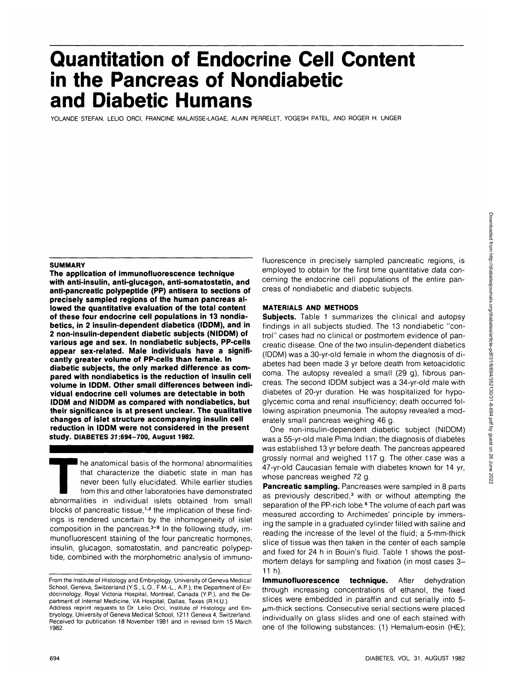# **Quantitation of Endocrine Cell Content in the Pancreas of Nondiabetic and Diabetic Humans**

YOLANDE STEFAN, LELIO ORCI, FRANCINE MALAISSE-LAGAE, ALAIN PERRELET, YOGESH PATEL, AND ROGER H. UNGER

# **SUMMARY**

**The application of immunofluorescence technique with anti-insulin, anti-glucagon, anti-somatostatin, and anti-pancreatic polypeptide (PP) antisera to sections of precisely sampled regions of the human pancreas allowed the quantitative evaluation of the total content of these four endocrine cell populations in 13 nondiabetics, in 2 insulin-dependent diabetics (IDDM), and in 2 non-insulin-dependent diabetic subjects (NIDDM) of various age and sex. In nondiabetic subjects, PP-cells appear sex-related. Male individuals have a significantly greater volume of PP-cells than female. In diabetic subjects, the only marked difference as compared with nondiabetics is the reduction of insulin cell volume in IDDM. Other small differences between individual endocrine cell volumes are detectable in both IDDM and NIDDM as compared with nondiabetics, but their significance is at present unclear. The qualitative changes of islet structure accompanying insulin cell reduction in IDDM were not considered in the present Study. DIABETES 37:694-700, August 1982.**

The anatomical basis of the hormonal abnormalities<br>that characterize the diabetic state in man has<br>never been fully elucidated. While earlier studies<br>from this and other laboratories have demonstrated<br>abnormalities in indi that characterize the diabetic state in man has never been fully elucidated. While earlier studies from this and other laboratories have demonstrated blocks of pancreatic tissue,<sup>1,2</sup> the implication of these findings is rendered uncertain by the inhomogeneity of islet composition in the pancreas.<sup>3-8</sup> In the following study, immunofluorescent staining of the four pancreatic hormones, insulin, glucagon, somatostatin, and pancreatic polypeptide, combined with the morphometric analysis of immunofluorescence in precisely sampled pancreatic regions, is employed to obtain for the first time quantitative data concerning the endocrine cell populations of the entire pancreas of nondiabetic and diabetic subjects.

# **MATERIALS AND METHODS**

**Subjects.** Table 1 summarizes the clinical and autopsy findings in all subjects studied. The 13 nondiabetic "control" cases had no clinical or postmortem evidence of pancreatic disease. One of the two insulin-dependent diabetics (IDDM) was a 30-yr-old female in whom the diagnosis of diabetes had been made 3 yr before death from ketoacidotic coma. The autopsy revealed a small (29 g), fibrous pancreas. The second IDDM subject was a 34-yr-old male with diabetes of 20-yr duration. He was hospitalized for hypoglycemic coma and renal insufficiency; death occurred following aspiration pneumonia. The autopsy revealed a moderately small pancreas weighing 46 g.

One non-insulin-dependent diabetic subject (NIDDM) was a 55-yr-old male Pima Indian; the diagnosis of diabetes was established 13 yr before death. The pancreas appeared grossly normal and weighed 117 g. The other case was a 47-yr-old Caucasian female with diabetes known for 14 yr, whose pancreas weighed 72 g.

**Pancreatic sampling.** Pancreases were sampled in 8 parts as previously described,<sup>3</sup> with or without attempting the separation of the PP-rich lobe.<sup>6</sup> The volume of each part was measured according to Archimedes' principle by immersing the sample in a graduated cylinder filled with saline and reading the increase of the level of the fluid; a 5-mm-thick slice of tissue was then taken in the center of each sample and fixed for 24 h in Bouin's fluid. Table 1 shows the postmortem delays for sampling and fixation (in most cases 3-11 h).

From the Institute of Histology and Embryology, University of Geneva Medical School, Geneva, Switzerland (Y.S., L.O., F.M.-L, A.P.), the Department of Endocrinology, Royal Victoria Hospital, Montreal, Canada (Y.P.), and the Department of Internal Medicine, VA Hospital, Dallas, Texas (R.H.U.).

Address reprint requests to Dr. Lelio Orci, Institute of Histology and Embryology, University of Geneva Medical School, 1211 Geneva 4, Switzerland. Received for publication 18 November 1981 and in revised form 15 March 1982.

**Immunofluorescence technique.** After dehydration through increasing concentrations of ethanol, the fixed slices were embedded in paraffin and cut serially into 5-  $\mu$ m-thick sections. Consecutive serial sections were placed individually on glass slides and one of each stained with one of the following substances: (1) Hemalum-eosin (HE);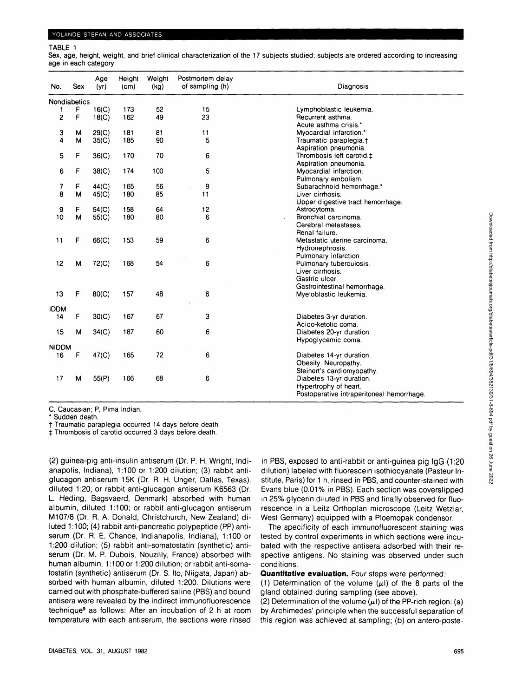# TABLE 1

Sex, age, height, weight, and brief clinical characterization of the 17 subjects studied; subjects are ordered according to increasing age in each category

| No.               | Sex          | Age<br>(yr)       | Height<br>(cm) | Weight<br>(kg) | Postmortem delay<br>of sampling (h) | Diagnosis                                 |
|-------------------|--------------|-------------------|----------------|----------------|-------------------------------------|-------------------------------------------|
|                   | Nondiabetics |                   |                |                |                                     |                                           |
| 1                 | F            | 16(C)             | 173            | 52             | 15                                  | Lymphoblastic leukemia.                   |
| $\overline{c}$    | F            | 18 <sub>C</sub>   | 162            | 49             | 23                                  | Recurrent asthma.                         |
|                   |              |                   |                |                |                                     | Acute asthma crisis.*                     |
| 3                 | М            | 29(C)             | 181            | 81             | 11                                  | Myocardial infarction.*                   |
| 4                 | M            | 35(C)             | 185            | 90             | 5                                   | Traumatic paraplegia.†                    |
|                   |              |                   |                |                |                                     | Aspiration pneumonia.                     |
| 5                 | F            | 36(C)             | 170            | 70             | 6                                   | Thrombosis left carotid.‡                 |
|                   |              |                   |                |                |                                     | Aspiration pneumonia.                     |
| 6                 | F            | 38(C)             | 174            | 100            | 5                                   | Myocardial infarction.                    |
|                   |              |                   |                |                |                                     | Pulmonary embolism.                       |
| 7                 | F            | 44(C)             | 165            | 56             | 9                                   | Subarachnoid hemorrhage.*                 |
| 8                 | M            | 45(C)             | 180            | 85             | 11                                  | Liver cirrhosis.                          |
|                   |              |                   |                |                |                                     | Upper digestive tract hemorrhage.         |
| 9                 | F            | 54 <sub>(C)</sub> | 158            | 64             | 12                                  | Astrocytoma.                              |
| 10                | M            | 55(C)             | 180            | 80             | 6                                   | Bronchial carcinoma.                      |
|                   |              |                   |                |                |                                     | Cerebral metastases.                      |
|                   |              |                   |                |                |                                     | Renal failure.                            |
| 11                | F            | 66(C)             | 153            | 59             | 6                                   | Metastatic uterine carcinoma.             |
|                   |              |                   |                |                |                                     | Hydronephrosis.                           |
|                   |              |                   |                |                |                                     | Pulmonary infarction.                     |
| 12                | М            | 72(C)             | 168            | 54             | 6                                   | Pulmonary tuberculosis.                   |
|                   |              |                   |                |                |                                     | Liver cirrhosis.                          |
|                   |              |                   |                |                |                                     | Gastric ulcer.                            |
|                   |              |                   |                |                |                                     | Gastrointestinal hemorrhage.              |
| 13                | F            | 80(C)             | 157            | 48             | 6                                   | Myeloblastic leukemia.                    |
|                   |              |                   |                |                |                                     |                                           |
| <b>IDDM</b><br>14 | F            | 30(C)             | 167            | 67             | 3                                   | Diabetes 3-yr duration.                   |
|                   |              |                   |                |                |                                     | Acido-ketotic coma.                       |
|                   | M            | 34(C)             | 187            | 60             | 6                                   |                                           |
| 15                |              |                   |                |                |                                     | Diabetes 20-yr duration.                  |
|                   |              |                   |                |                |                                     | Hypoglycemic coma.                        |
| <b>NIDDM</b>      | F            |                   | 165            | 72             | 6                                   |                                           |
| 16                |              | 47(C)             |                |                |                                     | Diabetes 14-yr duration.                  |
|                   |              |                   |                |                |                                     | Obesity. Neuropathy.                      |
|                   |              |                   |                | 68             |                                     | Steinert's cardiomyopathy.                |
| 17                | м            | 55(P)             | 166            |                | 6                                   | Diabetes 13-yr duration.                  |
|                   |              |                   |                |                |                                     | Hypertrophy of heart.                     |
|                   |              |                   |                |                |                                     | Postoperative intraperitoneal hemorrhage. |

C, Caucasian; P, Pima Indian.

Sudden death.

t Traumatic paraplegia occurred 14 days before death.

j Thrombosis of carotid occurred 3 days before death.

(2) guinea-pig anti-insulin antiserum (Dr. P. H. Wright, Indianapolis, Indiana), 1:100 or 1:200 dilution; (3) rabbit antiglucagon antiserum 15K (Dr. R. H. Unger, Dallas, Texas), diluted 1:20; or rabbit anti-glucagon antiserum K6563 (Dr. L. Heding, Bagsvaerd, Denmark) absorbed with human albumin, diluted 1:100; or rabbit anti-glucagon antiserum M107/8 (Dr. R. A. Donald, Christchurch, New Zealand) diluted 1:100; (4) rabbit anti-pancreatic polypeptide (PP) antiserum (Dr. R. E. Chance, Indianapolis, Indiana), 1:100 or 1:200 dilution; (5) rabbit anti-somatostatin (synthetic) antiserum (Dr. M. P. Dubois, Nouzilly, France) absorbed with human albumin, 1:100 or 1:200 dilution; or rabbit anti-somatostatin (synthetic) antiserum (Dr. S. Ito, Niigata, Japan) absorbed with human albumin, diluted 1:200. Dilutions were carried out with phosphate-buffered saline (PBS) and bound antisera were revealed by the indirect immunofluorescence technique<sup>9</sup> as follows: After an incubation of 2 h at room temperature with each antiserum, the sections were rinsed in PBS, exposed to anti-rabbit or anti-guinea pig IgG (1:20 dilution) labeled with fluorescein isothiocyanate (Pasteur Institute, Paris) for 1 h, rinsed in PBS, and counter-stained with Evans blue (0.01% in PBS). Each section was coverslipped m 25% glycerin diluted in PBS and finally observed for fluorescence in a Leitz Orthoplan microscope (Leitz Wetzlar, West Germany) equipped with a Ploemopak condensor.

The specificity of each immunofluorescent staining was tested by control experiments in which sections were incubated with the respective antisera adsorbed with their respective antigens. No staining was observed under such conditions.

**Quantitative evaluation.** Four steps were performed:

(1) Determination of the volume  $(\mu I)$  of the 8 parts of the gland obtained during sampling (see above).

(2) Determination of the volume  $(\mu I)$  of the PP-rich region: (a) by Archimedes' principle when the successful separation of this region was achieved at sampling; (b) on antero-poste-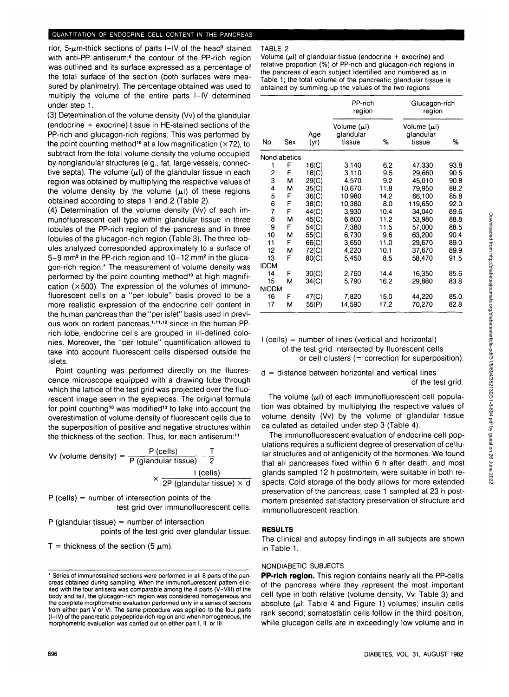rior, 5- $\mu$ m-thick sections of parts I-IV of the head<sup>3</sup> stained with anti-PP antiserum;<sup>6</sup> the contour of the PP-rich region was outlined and its surface expressed as a percentage of the total surface of the section (both surfaces were measured by planimetry). The percentage obtained was used to multiply the volume of the entire parts I-IV determined under step 1.

(3) Determination of the volume density (Vv) of the glandular (endocrine + exocrine) tissue in HE-stained sections of the PP-rich and glucagon-rich regions. This was performed by the point counting method<sup>10</sup> at a low magnification ( $\times$  72), to subtract from the total volume density the volume occupied by nonglandular structures (e.g., fat, large vessels, connective septa). The volume  $(\mu I)$  of the glandular tissue in each region was obtained by multiplying the respective values of the volume density by the volume  $(\mu I)$  of these regions obtained according to steps 1 and 2 (Table 2).

(4) Determination of the volume density (Vv) of each immunofluorescent cell type within glandular tissue in three lobules of the PP-rich region of the pancreas and in three lobules of the glucagon-rich region (Table 3). The three lobules analyzed corresponded approximately to a surface of  $5-9$  mm<sup>2</sup> in the PP-rich region and  $10-12$  mm<sup>2</sup> in the glucagon-rich region.\* The measurement of volume density was performed by the point counting method<sup>10</sup> at high magnification  $(x500)$ . The expression of the volumes of immunofluorescent cells on a "per lobule" basis proved to be a more realistic expression of the endocrine cell content in the human pancreas than the "per islet" basis used in previous work on rodent pancreas,<sup>1,11,12</sup> since in the human PPrich lobe, endocrine cells are grouped in ill-defined colonies. Moreover, the "per lobule" quantification allowed to take into account fluorescent cells dispersed outside the islets.

Point counting was performed directly on the fluorescence microscope equipped with a drawing tube through which the lattice of the test grid was projected over the fluorescent image seen in the eyepieces. The original formula for point counting<sup>10</sup> was modified<sup>13</sup> to take into account the overestimation of volume density of fluorescent cells due to the superposition of positive and negative structures within the thickness of the section. Thus, for each antiserum:<sup>11</sup>

Vv (volume density) = 
$$
\frac{P \text{ (cells)}}{P \text{ (glandular tissue)}} - \frac{T}{2}
$$

\n× 
$$
\frac{I \text{ (cells)}}{2P \text{ (glandular tissue)}} \times \frac{1}{d}
$$

 $P$  (cells) = number of intersection points of the test grid over immunofluorescent cells.

 $P$  (glandular tissue) = number of intersection points of the test grid over glandular tissue.

T = thickness of the section (5  $\mu$ m).

# TABLE 2

Volume  $(\mu I)$  of glandular tissue (endocrine + exocrine) and relative proportion (%) of PP-rich and glucagon-rich regions in the pancreas of each subject identified and numbered as in Table 1; the total volume of the pancreatic glandular tissue is obtained by summing up the values of the two regions

|              |              |             | PP-rich<br>region                       |      | Glucagon-rich<br>region                 |      |  |  |  |
|--------------|--------------|-------------|-----------------------------------------|------|-----------------------------------------|------|--|--|--|
| No.          | Sex          | Age<br>(yr) | Volume $(\mu I)$<br>glandular<br>tissue | %    | Volume $(\mu I)$<br>glandular<br>tissue | %    |  |  |  |
|              | Nondiabetics |             |                                         |      |                                         |      |  |  |  |
| 1            | F            | 16(C)       | 3,140                                   | 6.2  | 47,330                                  | 93.8 |  |  |  |
| 2            | F            | 18(C)       | 3.110                                   | 9.5  | 29,660                                  | 90.5 |  |  |  |
| 3            | м            | 29(C)       | 4,570                                   | 9.2  | 45,010                                  | 90.8 |  |  |  |
| 4            | м            | 35(C)       | 10.670                                  | 11.8 | 79.950                                  | 88.2 |  |  |  |
| 5            | F            | 36(C)       | 10,980                                  | 14.2 | 66.100                                  | 858  |  |  |  |
| 6            | F            | 38(C)       | 10,380                                  | 8.0  | 119,650                                 | 92.0 |  |  |  |
| 7            | F            | 44(C)       | 3,930                                   | 10.4 | 34,040                                  | 89.6 |  |  |  |
| 8            | м            | 45(C)       | 6.800                                   | 11.2 | 53,980                                  | 88.8 |  |  |  |
| 9            | F            | 54(C)       | 7.380                                   | 11.5 | 57,000                                  | 88.5 |  |  |  |
| 10           | м            | 55(C)       | 6,730                                   | 9.6  | 63,200                                  | 90.4 |  |  |  |
| 11           | F            | 66(C)       | 3.650                                   | 11.0 | 29,670                                  | 89.0 |  |  |  |
| 12           | м            | 72(C)       | 4,220                                   | 10.1 | 37,670                                  | 89.9 |  |  |  |
| 13           | F            | 80(C)       | 5.450                                   | 8.5  | 58,470                                  | 91.5 |  |  |  |
| <b>IDDM</b>  |              |             |                                         |      |                                         |      |  |  |  |
| 14           | F            | 30(C)       | 2.760                                   | 14.4 | 16,350                                  | 85.6 |  |  |  |
| 15           | м            | 34(C)       | 5.790                                   | 16.2 | 29.880                                  | 83.8 |  |  |  |
| <b>NIDDM</b> |              |             |                                         |      |                                         |      |  |  |  |
| 16           | F            | 47(C)       | 7,820                                   | 15.0 | 44,220                                  | 85.0 |  |  |  |
| 17           | м            | 55(P)       | 14,590                                  | 17.2 | 70,270                                  | 82.8 |  |  |  |

I (cells) = number of lines (vertical and horizontal) of the test grid intersected by fluorescent cells or cell clusters (= correction for superposition).

 $d =$  distance between horizontal and vertical lines of the test grid.

The volume  $(\mu I)$  of each immunofluorescent cell population was obtained by multiplying the respective values of volume density (Vv) by the volume of glandular tissue calculated as detailed under step 3 (Table 4).

The immunofluorescent evaluation of endocrine cell populations requires a sufficient degree of preservation of cellular structures and of antigenicity of the hormones. We found that all pancreases fixed within 6 h after death, and most glands sampled 12 h postmortem, were suitable in both respects. Cold storage of the body allows for more extended preservation of the pancreas; case 1 sampled at 23 h postmortem presented satisfactory preservation of structure and immunofluorescent reaction.

# **RESULTS**

The clinical and autopsy findings in all subjects are shown in Table 1.

# NONDIABETIC SUBJECTS

**PP-rich region.** This region contains nearly all the PP-cells of the pancreas where they represent the most important cell type in both relative (volume density, Vv: Table 3) and absolute  $(\mu I: Table 4$  and Figure 1) volumes; insulin cells rank second; somatostatin cells follow in the third position, while glucagon cells are in exceedingly low volume and in

<sup>\*</sup> Series of immunostained sections were performed in all 8 parts of the pancreas obtained during sampling. When the immunofluorescent pattern elicited with the four antisera was comparable among the 4 parts (V-VIII) of the body and tail, the glucagon-rich region was considered homogeneous and the complete morphometric evaluation performed only in a series of sections from either part V or VI. The same procedure was applied to the four parts (I—IV) of the pancreatic polypeptide-rich region and when homogeneous, the morphometric evaluation was carried out on either part I, II, or III.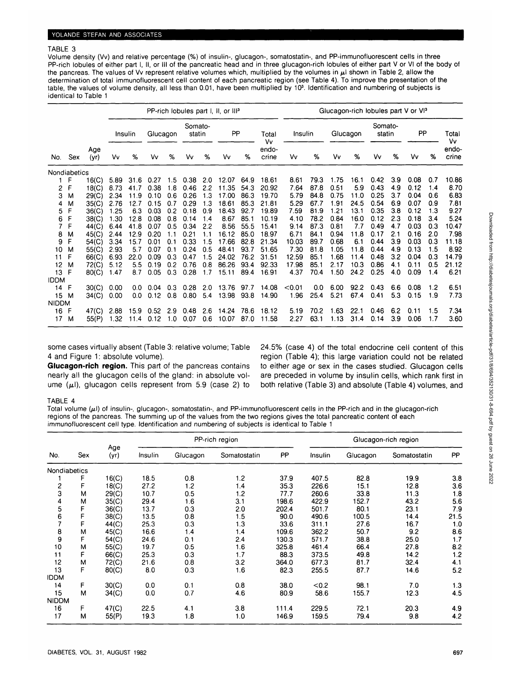# TABLE 3

Volume density (Vv) and relative percentage (%) of insulin-, glucagon-, somatostatin-, and PP-immunofluorescent cells in three PP-rich lobules of either part I, II, or III of the pancreatic head and in three glucagon-rich lobules of either part V or VI of the body of the pancreas. The values of Vv represent relative volumes which, multiplied by the volumes in  $\mu$ l shown in Table 2, allow the determination of total immunofluorescent cell content of each pancreatic region (see Table 4). To improve the presentation of the table, the values of volume density, all less than 0.01, have been multiplied by 103 . Identification and numbering of subjects is identical to Table 1

|              |              |                | PP-rich lobules part I, II, or III <sup>3</sup> |              |              |            |              |                   |                |              |                |              | Glucagon-rich lobules part V or VI <sup>3</sup> |              |              |                   |            |              |            |                |
|--------------|--------------|----------------|-------------------------------------------------|--------------|--------------|------------|--------------|-------------------|----------------|--------------|----------------|--------------|-------------------------------------------------|--------------|--------------|-------------------|------------|--------------|------------|----------------|
|              |              |                |                                                 | Insulin      |              | Glucagon   |              | Somato-<br>statin | PP             |              | Total<br>Vv    | Insulin      |                                                 | Glucagon     |              | Somato-<br>statin |            | PP           |            | Total<br>V٧    |
| No.          | Sex          | Age<br>(yr)    | Vv                                              | %            | V٧           | %          | V٧           | %                 | Vv             | %            | endo-<br>crine | ٧v           | %                                               | Vv           | %            | V٧                | %          | ٧v           | %          | endo-<br>crine |
|              | Nondiabetics |                |                                                 |              |              |            |              |                   |                |              |                |              |                                                 |              |              |                   |            |              |            |                |
|              | F            | 16(C)          | 5.89                                            | 31.6         | 0.27         | 1.5        | 0.38         | 2.0               | 12.07          | 64.9         | 18.61          | 8.61         | 79.3                                            | 1.75         | 16.1         | 0.42              | 3.9        | 0.08         | 0.7        | 10.86          |
| 2            | F            | 18(C)          | 8.73                                            | 41.7         | 0.38         | 1.8        | 0.46         | 2.2               | 11.35          | 54.3         | 20.92          | 7.64         | 87.8                                            | 0.51         | 5.9          | 0.43              | 4.9        | 0.12         | 1.4        | 8.70           |
| 3            | M            | 29(C)          | 2.34                                            | 11.9         | 0.10         | 0.6        | 0.26         | 1.3               | 17.00          | 86.3         | 19.70          | 5.79         | 84.8                                            | 0.75         | 11.0         | 0.25              | 3.7        | 0.04         | 0.6        | 6.83           |
| 4            | М            | 35(C)          | 2.76                                            | 12.7         | 0.15         | 0.7        | 0.29         | 1.3               | 18.61          | 85.3         | 21.81          | 5.29         | 67.7                                            | 1.91         | 24.5         | 0.54              | 6.9        | 0.07         | 0.9        | 7.81           |
| 5            | F            | 36(C)          | 1.25                                            | 6.3          | 0.03         | 0.2        | 0.18         | 0.9               | 18.43          | 92.7         | 19.89          | 7.59         | 81.9                                            | 1.21         | 13.1         | 0.35              | 3.8        | 0.12         | 1.3        | 9.27           |
| 6            | F            | 38(C)          | 1.30                                            | 12.8         | 0.08         | 0.8        | 0.14         | 1.4               | 8.67           | 85.1         | 10.19          | 4.10         | 78.2                                            | 0.84         | 16.0         | 0.12              | 2.3        | 0.18         | 3.4        | 5.24           |
| 7            | F            | 44(C)          | 6.44                                            | 41.8         | 0.07         | 0.5        | 0.34         | 2.2               | 8.56           | 55.5         | 15.41          | 9.14         | 87.3                                            | 0.81         | 7.7          | 0.49              | 4.7        | 0.03         | 0.3        | 10.47          |
| 8            | М            | 45(C)          | 2.44                                            | 12.9         | 0.20         | 1.1        | 0.21         | 1.1               | 16.12          | 85.0         | 18.97          | 6.71         | 84.1                                            | 0.94         | 11.8         | 0.17              | 2.1        | 0.16         | 2.0        | 7.98           |
| 9            | F            | 54(C)          | 3.34                                            | 15.7         | 0.01         | 0.1        | 0.33         | 1.5               | 17.66          | 82.8         | 21.34          | 10.03        | 89.7                                            | 0.68         | 6.1          | 0.44              | 3.9        | 0.03         | 0.3        | 11.18          |
| 10           | М            | 55(C)          | 2.93                                            | 5.7          | 0.07         | 0.1        | 0.24         | 0.5               | 48.41          | 93.7         | 51.65          | 7.30         | 81.8                                            | 1.05         | 11.8         | 0.44              | 4.9        | 0.13         | 1.5        | 8.92           |
| 11           | F            | 66(C)          | 6.93                                            | 22.0         | 0.09         | 0.3        | 0.47         | 1.5               | 24.02          | 76.2         | 31.51          | 12.59        | 85.1                                            | 1.68         | 11.4         | 0.48              | 3.2        | 0.04         | 0.3        | 14.79          |
| 12           | M            | 72(C)          | 5.12                                            | 5.5          | 0.19         | 0.2        | 0.76         | 0.8               | 86.26          | 93.4         | 92.33          | 17.98        | 85.1                                            | 2.17         | 10.3         | 0.86              | 4.1        | 0.11         | 0.5        | 21.12          |
| 13           | F            | 80(C)          | 1.47                                            | 8.7          | 0.05         | 0.3        | 0.28         | 1.7               | 15.11          | 89.4         | 16.91          | 4.37         | 70.4                                            | 1.50         | 24.2         | 0.25              | 4.0        | 0.09         | 1.4        | 6.21           |
| <b>IDDM</b>  |              |                |                                                 |              |              |            |              |                   |                |              |                |              |                                                 |              |              |                   |            |              |            |                |
| 14           | F            | 30(C)          | 0.00                                            | 0.0          | 0.04         | 0.3        | 0.28         | 2.0               | 13.76          | 97.7         | 14.08          | < 0.01       | 0.0                                             | 6.00         | 92.2         | 0.43              | 6.6        | 0.08         | 1.2        | 6.51           |
| 15           | M            | 34(C)          | 0.00                                            | 0.0          | 0.12         | 0.8        | 0.80         | 5.4               | 13.98          | 93.8         | 14.90          | 1.96         | 25.4                                            | 5.21         | 67.4         | 0.41              | 5.3        | 0.15         | 1.9        | 7.73           |
| <b>NIDDM</b> |              |                |                                                 |              |              |            |              |                   |                |              |                |              |                                                 |              |              |                   |            |              |            |                |
| 16<br>17     | F<br>M       | 47(C)<br>55(P) | 2.88<br>1.32                                    | 15.9<br>11.4 | 0.52<br>0.12 | 2.9<br>1.0 | 0.48<br>0.07 | 2.6<br>0.6        | 14.24<br>10.07 | 78.6<br>87.0 | 18.12<br>11.58 | 5.19<br>2.27 | 70.2<br>63.1                                    | 1.63<br>1.13 | 22.1<br>31.4 | 0.46<br>0.14      | 6.2<br>3.9 | 0.11<br>0.06 | 1.5<br>1.7 | 7.34<br>3.60   |
|              |              |                |                                                 |              |              |            |              |                   |                |              |                |              |                                                 |              |              |                   |            |              |            |                |

some cases virtually absent (Table 3: relative volume; Table 4 and Figure 1: absolute volume).

**Glucagon-rich region.** This part of the pancreas contains nearly all the glucagon cells of the gland: in absolute volume  $(\mu l)$ , glucagon cells represent from 5.9 (case 2) to 24.5% (case 4) of the total endocrine cell content of this region (Table 4); this large variation could not be related to either age or sex in the cases studied. Glucagon cells are preceded in volume by insulin cells, which rank first in both relative (Table 3) and absolute (Table 4) volumes, and

# TABLE 4

Total volume  $(\mu)$  of insulin-, glucagon-, somatostatin-, and PP-immunofluorescent cells in the PP-rich and in the glucagon-rich regions of the pancreas. The summing up of the values from the two regions gives the total pancreatic content of each immunofluorescent cell type. Identification and numbering of subjects is identical to Table 1

|                    |             |             |         |                    | PP-rich region |       | Glucagon-rich region |          |              |      |  |  |
|--------------------|-------------|-------------|---------|--------------------|----------------|-------|----------------------|----------|--------------|------|--|--|
| No.                | Sex         | Age<br>(yr) | Insulin | Glucagon           | Somatostatin   | PP    | Insulin              | Glucagon | Somatostatin | PP   |  |  |
| Nondiabetics       |             |             |         |                    |                |       |                      |          |              |      |  |  |
|                    | F           | 16(C)       | 18.5    | 0.8                | 1.2            | 37.9  | 407.5                | 82.8     | 19.9         | 3.8  |  |  |
|                    | F           | 18(C)       | 27.2    | 1.2<br>35.3<br>1.4 |                |       | 226.6                | 15.1     | 12.8         | 3.6  |  |  |
| $\frac{2}{3}$      | M           | 29(C)       | 10.7    | 0.5                | 1.2            | 77.7  | 260.6                | 33.8     | 11.3         | 1.8  |  |  |
| 4                  | М           | 35(C)       | 29.4    | 1.6                | 3.1<br>198.6   |       | 422.9                | 152.7    | 43.2         | 5.6  |  |  |
| 5<br>6<br>7        | F           | 36(C)       | 13.7    | 0.3                | 2.0            | 202.4 | 501.7                | 80.1     | 23.1         | 7.9  |  |  |
|                    | $\mathsf F$ | 38(C)       | 13.5    | 0.8                | 1.5            | 90.0  | 490.6                | 100.5    | 14.4         | 21.5 |  |  |
|                    | F           | 44(C)       | 25.3    | 0.3                | 1.3            | 33.6  | 311.1                | 27.6     | 16.7         | 1.0  |  |  |
| 8                  | M           | 45(C)       | 16.6    | 1.4                | 1.4            | 109.6 | 362.2                | 50.7     | 9.2          | 8.6  |  |  |
| 9                  | F           | 54(C)       | 24.6    | 0.1                | 2.4            | 130.3 | 571.7                | 38.8     | 25.0         | 1.7  |  |  |
| 10                 | М           | 55(C)       | 19.7    | 0.5                | 1.6            | 325.8 | 461.4                | 66.4     | 27.8         | 8.2  |  |  |
| 11                 | F           | 66(C)       | 25.3    | 0.3                | 1.7            | 88.3  | 373.5                | 49.8     | 14.2         | 1.2  |  |  |
| 12                 | M           | 72(C)       | 21.6    | 0.8                | 3.2            | 364.0 | 677.3                | 81.7     | 32.4         | 4.1  |  |  |
| 13                 | F           | 80(C)       | 8.0     | 0.3                | 1.6            | 82.3  | 255.5                | 87.7     | 14.6         | 5.2  |  |  |
| <b>IDDM</b>        |             |             |         |                    |                |       |                      |          |              |      |  |  |
| 14                 | F           | 30(C)       | 0.0     | 0.1                | 0.8            | 38.0  | < 0.2                | 98.1     | 7.0          | 1.3  |  |  |
| 15<br><b>NIDDM</b> | M           | 34(C)       | 0.0     | 0.7                | 4.6            | 80.9  | 58.6                 | 155.7    | 12.3         | 4.5  |  |  |
| 16                 | F           | 47(C)       | 22.5    | 4.1                | 3.8            | 111.4 | 229.5                | 72.1     | 20.3         | 4.9  |  |  |
| 17                 | M           | 55(P)       | 19.3    | 1.8                | 1.0            | 146.9 | 159.5                | 79.4     | 9.8          | 4.2  |  |  |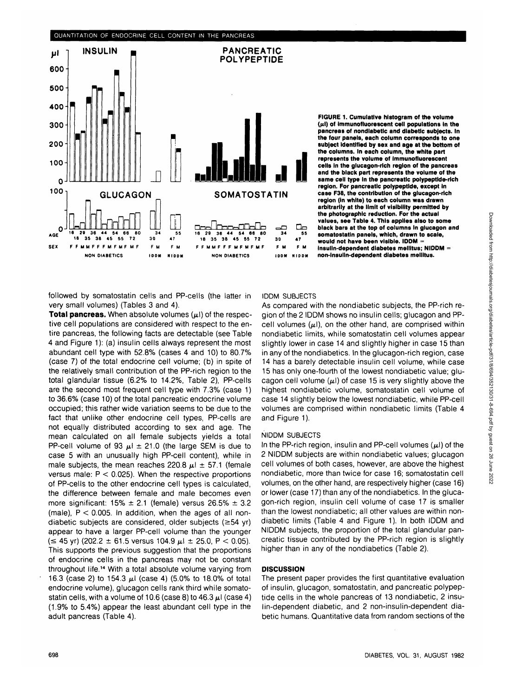# QUANTITATION OF ENDOCRINE CELL CONTENT IN THE PANCREAS



**FIGURE 1. Cumulative histogram of the volume (fi\) of Immunofluorescent cell populations In the pancreas of nondiabetic and diabetic subjects. In the four panels, each column corresponds to one subject identified by sex and age at the bottom of the columns. In each column, the white part represents the volume of Immunofluorescent cells in the glucagon-rich region of the pancreas and the black part represents the volume of the same cell type in the pancreatic polypeptide-rich region. For pancreatic polypeptide, except In case F38, the contribution of the glucagon-rich region (in white) to each column was drawn arbitrarily at the limit of visibility permitted by the photographic reduction. For the actual values, see Table 4. This applies also to some black bars at the top of columns In glucagon and somatostatin panels, which, drawn to scale, would not have been visible. IDDM = insulin-dependent diabetes mellltus; NIDDM = non-insulin-dependent diabetes mellltus.**

followed by somatostatin cells and PP-cells (the latter in very small volumes) (Tables 3 and 4).

**Total pancreas.** When absolute volumes  $(\mu)$  of the respective cell populations are considered with respect to the entire pancreas, the following facts are detectable (see Table 4 and Figure 1): (a) insulin cells always represent the most abundant cell type with 52.8% (cases 4 and 10) to 80.7% (case 7) of the total endocrine cell volume; (b) in spite of the relatively small contribution of the PP-rich region to the total glandular tissue (6.2% to 14.2%, Table 2), PP-cells are the second most frequent cell type with 7.3% (case 1) to 36.6% (case 10) of the total pancreatic endocrine volume occupied; this rather wide variation seems to be due to the fact that unlike other endocrine cell types, PP-cells are not equally distributed according to sex and age. The mean calculated on all female subjects yields a total PP-cell volume of 93  $\mu$ l  $\pm$  21.0 (the large SEM is due to case 5 with an unusually high PP-cell content), while in male subjects, the mean reaches 220.8  $\mu$ l ± 57.1 (female versus male:  $P < 0.025$ ). When the respective proportions of PP-cells to the other endocrine cell types is calculated, the difference between female and male becomes even more significant:  $15\% \pm 2.1$  (female) versus  $26.5\% \pm 3.2$ (male),  $P < 0.005$ . In addition, when the ages of all nondiabetic subjects are considered, older subjects ( $\geq$ 54 yr) appear to have a larger PP-cell volume than the younger  $(S = 45 \text{ yr})$  (202.2  $\pm$  61.5 versus 104.9  $\mu$ l  $\pm$  25.0, P < 0.05). This supports the previous suggestion that the proportions of endocrine cells in the pancreas may not be constant throughout life.<sup>14</sup> With a total absolute volume varying from 16.3 (case 2) to 154.3  $\mu$ J (case 4) (5.0% to 18.0% of total endocrine volume), glucagon cells rank third while somatostatin cells, with a volume of 10.6 (case 8) to  $46.3 \mu$  (case 4) (1,9% to 5.4%) appear the least abundant cell type in the adult pancreas (Table 4).

#### IDDM SUBJECTS

As compared with the nondiabetic subjects, the PP-rich region of the 2 IDDM shows no insulin cells; glucagon and PPcell volumes  $(\mu l)$ , on the other hand, are comprised within nondiabetic limits, while somatostatin cell volumes appear slightly lower in case 14 and slightly higher in case 15 than in any of the nondiabetics. In the glucagon-rich region, case 14 has a barely detectable insulin cell volume, while case 15 has only one-fourth of the lowest nondiabetic value; glucagon cell volume  $(\mu l)$  of case 15 is very slightly above the highest nondiabetic volume, somatostatin cell volume of case 14 slightly below the lowest nondiabetic, while PP-cell volumes are comprised within nondiabetic limits (Table 4 and Figure 1).

# NIDDM SUBJECTS

In the PP-rich region, insulin and PP-cell volumes  $(\mu I)$  of the 2 NIDDM subjects are within nondiabetic values; glucagon cell volumes of both cases, however, are above the highest nondiabetic, more than twice for case 16; somatostatin cell volumes, on the other hand, are respectively higher (case 16) or lower (case 17) than any of the nondiabetics. In the glucagon-rich region, insulin cell volume of case 17 is smaller than the lowest nondiabetic; all other values are within nondiabetic limits (Table 4 and Figure 1). In both IDDM and NIDDM subjects, the proportion of the total glandular pancreatic tissue contributed by the PP-rich region is slightly higher than in any of the nondiabetics (Table 2).

#### **DISCUSSION**

The present paper provides the first quantitative evaluation of insulin, glucagon, somatostatin, and pancreatic polypeptide cells in the whole pancreas of 13 nondiabetic, 2 insulin-dependent diabetic, and 2 non-insulin-dependent diabetic humans. Quantitative data from random sections of the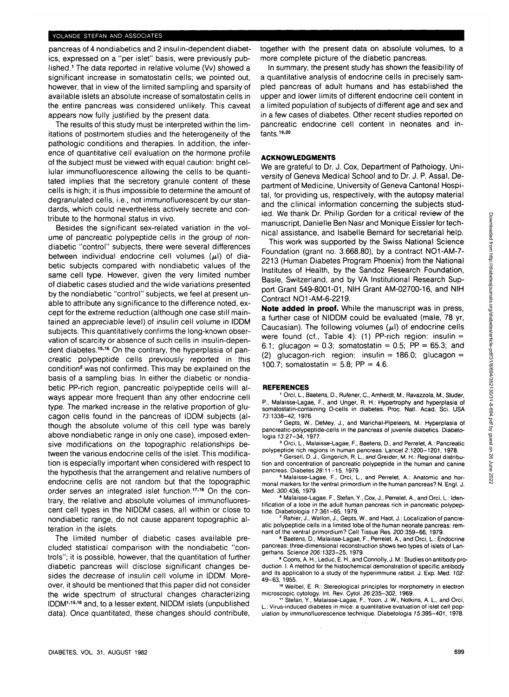# YOLANDE STEFAN AND ASSOCIATES

pancreas of 4 nondiabetics and 2 insulin-dependent diabetics, expressed on a "per islet" basis, were previously published.<sup>1</sup> The data reported in relative volume (Vv) showed a significant increase in somatostatin cells; we pointed out, however, that in view of the limited sampling and sparsity of available islets an absolute increase of somatostatin cells in the entire pancreas was considered unlikely. This caveat appears now fully justified by the present data.

The results of this study must be interpreted within the limitations of postmortem studies and the heterogeneity of the pathologic conditions and therapies. In addition, the inference of quantitative cell evaluation on the hormone profile of the subject must be viewed with equal caution: bright cellular immunofluorescence allowing the cells to be quantitated implies that the secretory granule content of these cells is high; it is thus impossible to determine the amount of degranulated cells, i.e., not immunofluorescent by our standards, which could nevertheless actively secrete and contribute to the hormonal status in vivo.

Besides the significant sex-related variation in the volume of pancreatic polypeptide cells in the group of nondiabetic "control" subjects, there were several differences between individual endocrine cell volumes  $(\mu\mathfrak{l})$  of diabetic subjects compared with nondiabetic values of the same cell type. However, given the very limited number of diabetic cases studied and the wide variations presented by the nondiabetic "control" subjects, we feel at present unable to attribute any significance to the difference noted, except for the extreme reduction (although one case still maintained an appreciable level) of insulin cell volume in IDDM subjects. This quantitatively confirms the long-known observation of scarcity or absence of such cells in insulin-dependent diabetes.<sup>15,16</sup> On the contrary, the hyperplasia of pancreatic polypeptide cells previously reported in this condition<sup>2</sup> was not confirmed. This may be explained on the basis of a sampling bias. In either the diabetic or nondiabetic PP-rich region, pancreatic polypeptide cells will always appear more frequent than any other endocrine cell type. The marked increase in the relative proportion of glucagon cells found in the pancreas of IDDM subjects (although the absolute volume of this cell type was barely above nondiabetic range in only one case), imposed extensive modifications on the topographic relationships between the various endocrine cells of the islet. This modification is especially important when considered with respect to the hypothesis that the arrangement and relative numbers of endocrine cells are not random but that the topographic order serves an integrated islet function.<sup>17,18</sup> On the contrary, the relative and absolute volumes of immunofluorescent cell types in the NIDDM cases, all within or close to nondiabetic range, do not cause apparent topographic alteration in the islets.

The limited number of diabetic cases available precluded statistical comparison with the nondiabetic "controls"; it is possible, however, that the quantitation of further diabetic pancreas will disclose significant changes besides the decrease of insulin cell volume in IDDM. Moreover, it should be mentioned that this paper did not consider the wide spectrum of structural changes characterizing IDDM1 - 15- 16 and, to a lesser extent, NIDDM islets (unpublished data). Once quantitated, these changes should contribute,

together with the present data on absolute volumes, to a more complete picture of the diabetic pancreas.

In summary, the present study has shown the feasibility of a quantitative analysis of endocrine cells in precisely sampled pancreas of adult humans and has established the upper and lower limits of different endocrine cell content in a limited population of subjects of different age and sex and in a few cases of diabetes. Other recent studies reported on pancreatic endocrine cell content in neonates and infants.19- 20

# **ACKNOWLEDGMENTS**

We are grateful to Dr. J. Cox, Department of Pathology, University of Geneva Medical School and to Dr. J. P. Assal, Department of Medicine, University of Geneva Cantonal Hospital, for providing us, respectively, with the autopsy material and the clinical information concerning the subjects studied. We thank Dr. Philip Gorden for a critical review of the manuscript, Danielle Ben Nasrand Monique Eissler for technical assistance, and Isabelle Bernard for secretarial help.

This work was supported by the Swiss National Science Foundation (grant no. 3.668.80), by a contract NO1-AM-7- 2213 (Human Diabetes Program Phoenix) from the National Institutes of Health, by the Sandoz Research Foundation, Basle, Switzerland, and by VA Institutional Research Support Grant 549-8001-01, NIH Grant AM-02700-16, and NIH Contract NO1-AM-6-2219.

**Note added in proof.** While the manuscript was in press, a further case of NIDDM could be evaluated (male, 78 yr, Caucasian). The following volumes  $(\mu I)$  of endocrine cells were found (cf., Table 4): (1) PP-rich region: insulin = 6.1; glucagon =  $0.3$ ; somatostatin =  $0.5$ ; PP =  $65.3$ ; and (2) glucagon-rich region: insulin =  $186.0$ ; glucagon = 100.7; somatostatin = 5.8; PP = 4.6.

#### **REFERENCES**

 Orci, L, Baetens, D., Rufener, C., Amherdt, M., Ravazzola, M., Studer, P., Malaisse-Lagae, F., and Unger, R. H.: Hypertrophy and hyperplasia of somatostatin-containing D-cells in diabetes. Proc. Natl. Acad. Sci. USA 73:1338-42, 1976.

2 Gepts, W., DeMey, J., and Marichal-Pipeleers, M.: Hyperplasia of pancreatic-polypeptide-cells in the pancreas of juvenile diabetics. Diabetologia 13:27–34, 1977

 Orci, L, Malaisse-Lagae, F., Baetens, D., and Perrelet, A.: Pancreatic polypeptide rich regions in human pancreas. Lancet 2:1200-1201, 1978.

 Gersell, D. J., Gingerich, R. L, and Greider, M. H.: Regional distribution and concentration of pancreatic polypeptide in the human and canine

pancreas. Diabetes 28:11–15, 1979.<br><sup>5</sup> Malaisse-Lagae, F., Orci, L., and Perrelet, A.: Anatomic and hormonal markers for the ventral primordium in the human pancreas? N. Engl. J. Med. 300:436, 1979.

 Malaisse-Lagae, F., Stefan, Y., Cox, J., Perrelet, A., and Orci, L: Identification of a lobe in the adult human pancreas rich in pancreatic polypeptide. Diabetologia 17:361-65, 1979.

<sup>7</sup> Rahier, J., Wallon, J., Gepts, W., and Haot, J.: Localization of pancreatic polypeptide cells in a limited lobe of the human neonate pancreas: remnant of the ventral primordium? Cell Tissue Res. 200:359-66, 1979.

<sup>8</sup> Baetens, D., Malaisse-Lagae, F., Perrelet, A., and Orci, L.: Endocrine pancreas: three-dimensional reconstruction shows two types of islets of Langerhans. Science 206:1323-25, 1979.

<sup>9</sup> Coons, A. H., Leduc, E. H., and Connolly, J. M.: Studies on antibody production. I. A method for the histochemical demonstration of specific antibody and its application to a study of the hyperimmune rabbit. J. Exp. Med. 702: 49-63, 1955.

 Weibel, E. R.: Stereological principles for morphometry in electron microscopic cytology. Int. Rev. Cytol. 26:235-302, 1969. <sup>11</sup>

 Stefan, Y., Malaisse-Lagae, F., Yoon, J. W., Notkins, A. L, and Orci, L: Virus-induced diabetes in mice: a quantitative evaluation of islet cell population by immunofluorescence technique. Diabetologia 75:395-401, 1978.